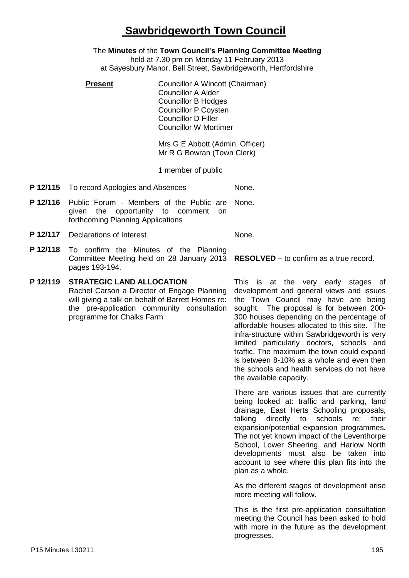# **Sawbridgeworth Town Council**

The **Minutes** of the **Town Council's Planning Committee Meeting** held at 7.30 pm on Monday 11 February 2013 at Sayesbury Manor, Bell Street, Sawbridgeworth, Hertfordshire

**Present Councillor A Wincott (Chairman)** Councillor A Alder Councillor B Hodges Councillor P Coysten Councillor D Filler Councillor W Mortimer

> Mrs G E Abbott (Admin. Officer) Mr R G Bowran (Town Clerk)

1 member of public

- **P 12/115** To record Apologies and Absences None.
- **P 12/116** Public Forum Members of the Public are given the opportunity to comment on forthcoming Planning Applications None.

**P 12/117** Declarations of Interest None.

**P 12/118** To confirm the Minutes of the Planning Committee Meeting held on 28 January 2013 pages 193-194.

# **P 12/119 STRATEGIC LAND ALLOCATION**

Rachel Carson a Director of Engage Planning will giving a talk on behalf of Barrett Homes re: the pre-application community consultation programme for Chalks Farm

**RESOLVED –** to confirm as a true record.

This is at the very early stages of development and general views and issues the Town Council may have are being sought. The proposal is for between 200- 300 houses depending on the percentage of affordable houses allocated to this site. The infra-structure within Sawbridgeworth is very limited particularly doctors, schools and traffic. The maximum the town could expand is between 8-10% as a whole and even then the schools and health services do not have the available capacity.

There are various issues that are currently being looked at: traffic and parking, land drainage, East Herts Schooling proposals, talking directly to schools re: their expansion/potential expansion programmes. The not yet known impact of the Leventhorpe School, Lower Sheering, and Harlow North developments must also be taken into account to see where this plan fits into the plan as a whole.

As the different stages of development arise more meeting will follow.

This is the first pre-application consultation meeting the Council has been asked to hold with more in the future as the development progresses.